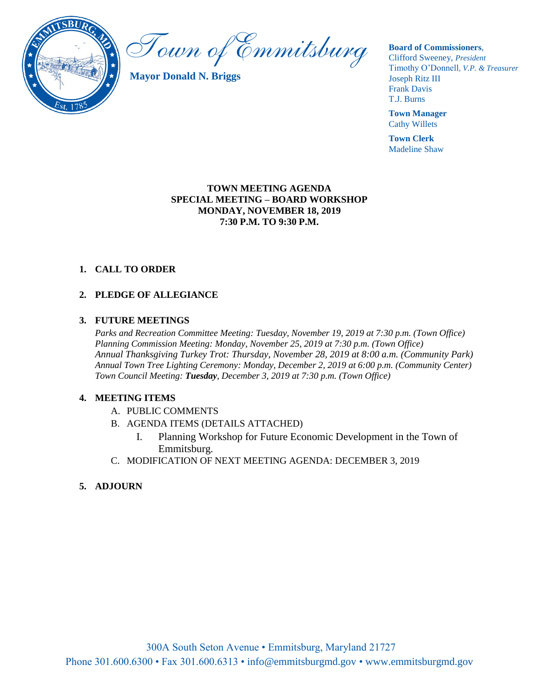

Town of Emmitsburg

**Mayor Donald N. Briggs**

**Board of Commissioners**,

Clifford Sweeney, *President* Timothy O'Donnell*, V.P. & Treasurer*  Joseph Ritz III Frank Davis T.J. Burns

**Town Manager** Cathy Willets

**Town Clerk** Madeline Shaw

#### **TOWN MEETING AGENDA SPECIAL MEETING – BOARD WORKSHOP MONDAY, NOVEMBER 18, 2019 7:30 P.M. TO 9:30 P.M.**

# **1. CALL TO ORDER**

## **2. PLEDGE OF ALLEGIANCE**

#### **3. FUTURE MEETINGS**

*Parks and Recreation Committee Meeting: Tuesday, November 19, 2019 at 7:30 p.m. (Town Office) Planning Commission Meeting: Monday, November 25, 2019 at 7:30 p.m. (Town Office) Annual Thanksgiving Turkey Trot: Thursday, November 28, 2019 at 8:00 a.m. (Community Park) Annual Town Tree Lighting Ceremony: Monday, December 2, 2019 at 6:00 p.m. (Community Center) Town Council Meeting: Tuesday, December 3, 2019 at 7:30 p.m. (Town Office)*

#### **4. MEETING ITEMS**

- A. PUBLIC COMMENTS
- B. AGENDA ITEMS (DETAILS ATTACHED)
	- I. Planning Workshop for Future Economic Development in the Town of Emmitsburg.
- C. MODIFICATION OF NEXT MEETING AGENDA: DECEMBER 3, 2019

### **5. ADJOURN**